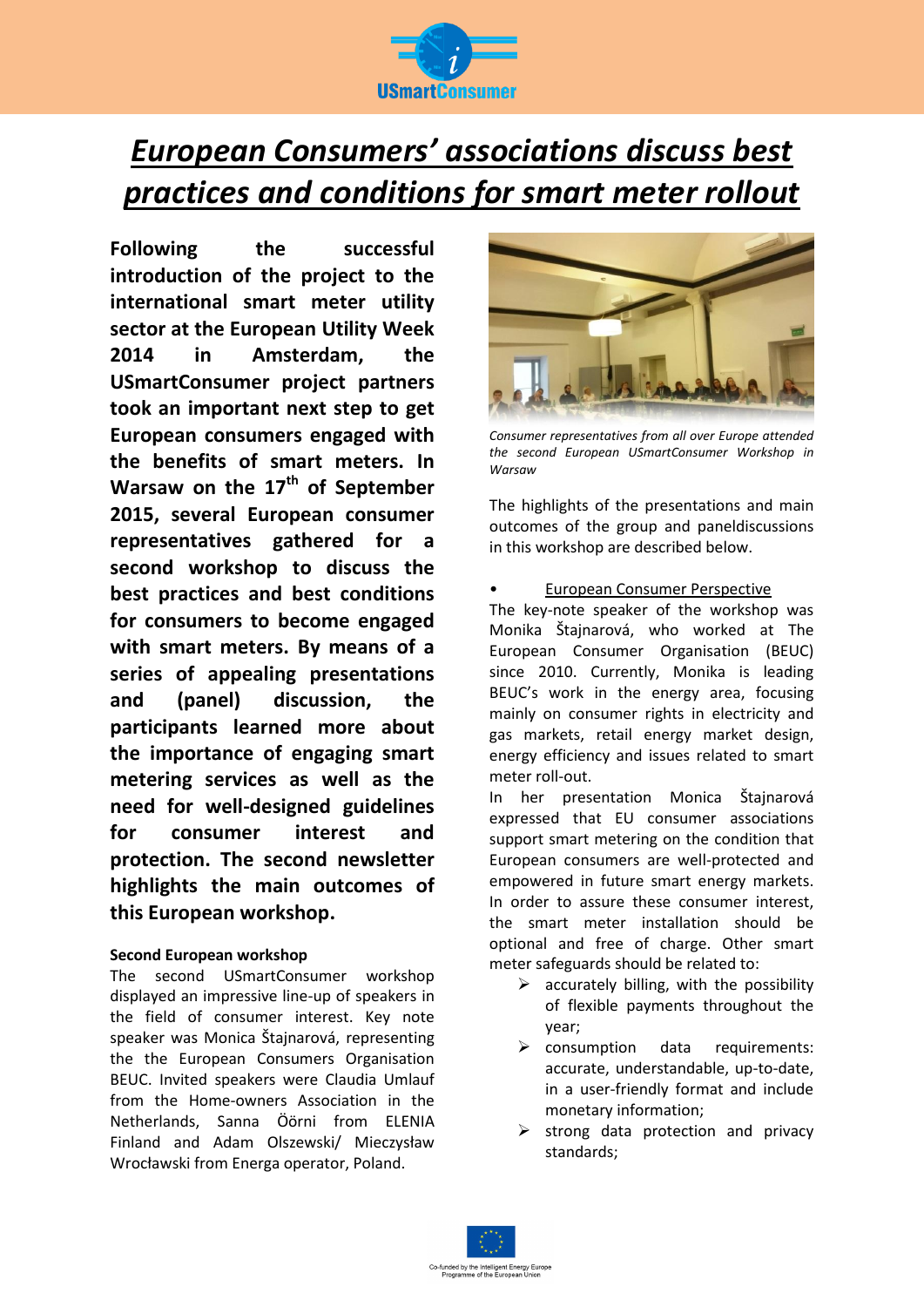

# *European Consumers' associations discuss best practices and conditions for smart meter rollout*

**Following the successful introduction of the project to the international smart meter utility sector at the European Utility Week 2014 in Amsterdam, the USmartConsumer project partners took an important next step to get European consumers engaged with the benefits of smart meters. In Warsaw on the 17th of September 2015, several European consumer representatives gathered for a second workshop to discuss the best practices and best conditions for consumers to become engaged with smart meters. By means of a series of appealing presentations and (panel) discussion, the participants learned more about the importance of engaging smart metering services as well as the need for well-designed guidelines for consumer interest and protection. The second newsletter highlights the main outcomes of this European workshop.**

# **Second European workshop**

The second USmartConsumer workshop displayed an impressive line-up of speakers in the field of consumer interest. Key note speaker was Monica Štajnarová, representing the the European Consumers Organisation BEUC. Invited speakers were Claudia Umlauf from the Home-owners Association in the Netherlands, Sanna Öörni from ELENIA Finland and Adam Olszewski/ Mieczysław Wrocławski from Energa operator, Poland.



*Consumer representatives from all over Europe attended the second European USmartConsumer Workshop in Warsaw*

The highlights of the presentations and main outcomes of the group and paneldiscussions in this workshop are described below.

# • European Consumer Perspective

The key-note speaker of the workshop was Monika Štajnarová, who worked at The European Consumer Organisation (BEUC) since 2010. Currently, Monika is leading BEUC's work in the energy area, focusing mainly on consumer rights in electricity and gas markets, retail energy market design, energy efficiency and issues related to smart meter roll-out.

In her presentation Monica Štajnarová expressed that EU consumer associations support smart metering on the condition that European consumers are well-protected and empowered in future smart energy markets. In order to assure these consumer interest, the smart meter installation should be optional and free of charge. Other smart meter safeguards should be related to:

- $\triangleright$  accurately billing, with the possibility of flexible payments throughout the year;
- $\triangleright$  consumption data requirements: accurate, understandable, up-to-date, in a user-friendly format and include monetary information;
- $\triangleright$  strong data protection and privacy standards;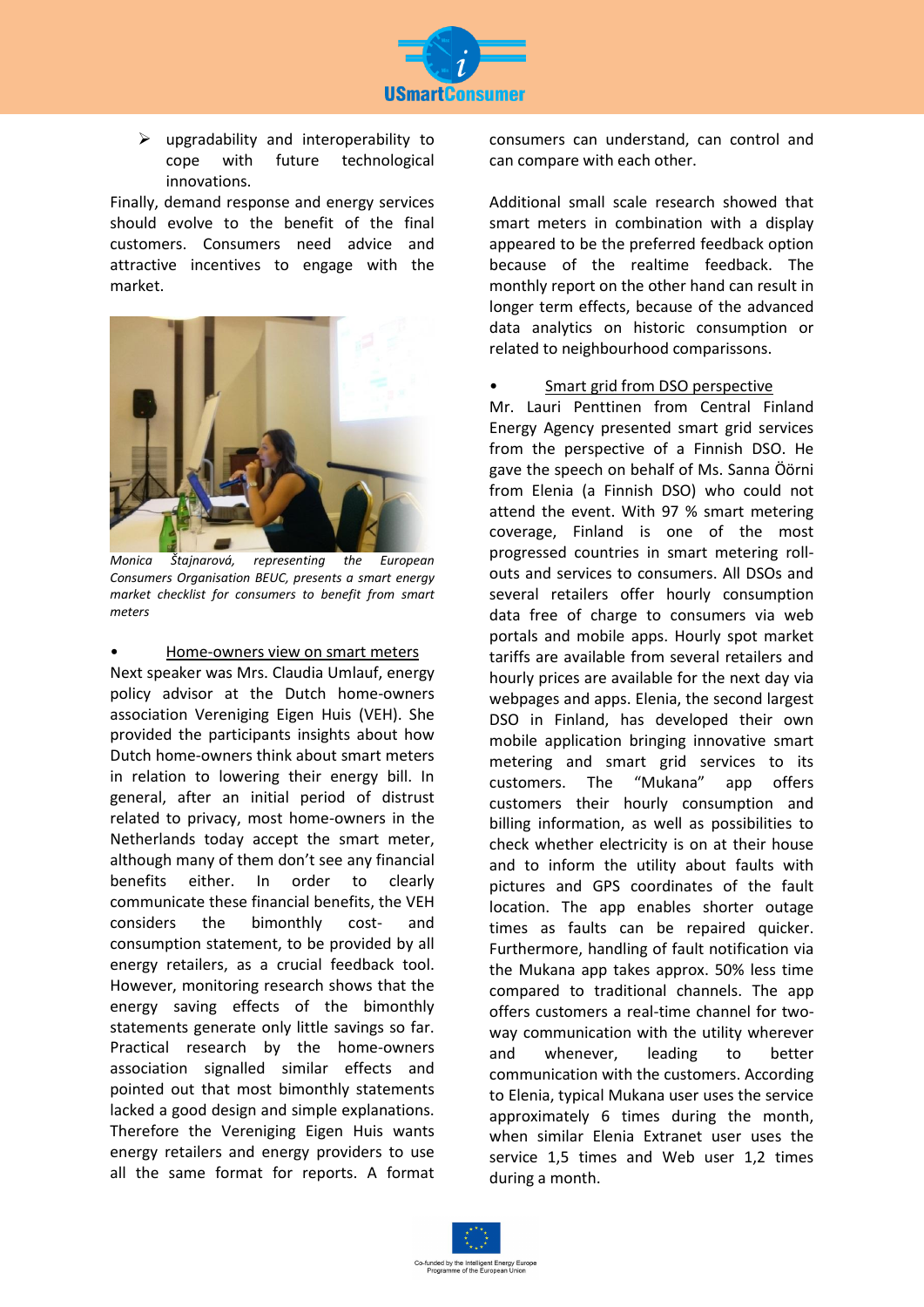

 $\triangleright$  upgradability and interoperability to cope with future technological innovations.

Finally, demand response and energy services should evolve to the benefit of the final customers. Consumers need advice and attractive incentives to engage with the market.



*Monica Štajnarová, representing the European Consumers Organisation BEUC, presents a smart energy market checklist for consumers to benefit from smart meters*

# • Home-owners view on smart meters

Next speaker was Mrs. Claudia Umlauf, energy policy advisor at the Dutch home-owners association Vereniging Eigen Huis (VEH). She provided the participants insights about how Dutch home-owners think about smart meters in relation to lowering their energy bill. In general, after an initial period of distrust related to privacy, most home-owners in the Netherlands today accept the smart meter, although many of them don't see any financial benefits either. In order to clearly communicate these financial benefits, the VEH considers the bimonthly cost- and consumption statement, to be provided by all energy retailers, as a crucial feedback tool. However, monitoring research shows that the energy saving effects of the bimonthly statements generate only little savings so far. Practical research by the home-owners association signalled similar effects and pointed out that most bimonthly statements lacked a good design and simple explanations. Therefore the Vereniging Eigen Huis wants energy retailers and energy providers to use all the same format for reports. A format consumers can understand, can control and can compare with each other.

Additional small scale research showed that smart meters in combination with a display appeared to be the preferred feedback option because of the realtime feedback. The monthly report on the other hand can result in longer term effects, because of the advanced data analytics on historic consumption or related to neighbourhood comparissons.

## • Smart grid from DSO perspective

Mr. Lauri Penttinen from Central Finland Energy Agency presented smart grid services from the perspective of a Finnish DSO. He gave the speech on behalf of Ms. Sanna Öörni from Elenia (a Finnish DSO) who could not attend the event. With 97 % smart metering coverage, Finland is one of the most progressed countries in smart metering rollouts and services to consumers. All DSOs and several retailers offer hourly consumption data free of charge to consumers via web portals and mobile apps. Hourly spot market tariffs are available from several retailers and hourly prices are available for the next day via webpages and apps. Elenia, the second largest DSO in Finland, has developed their own mobile application bringing innovative smart metering and smart grid services to its customers. The "Mukana" app offers customers their hourly consumption and billing information, as well as possibilities to check whether electricity is on at their house and to inform the utility about faults with pictures and GPS coordinates of the fault location. The app enables shorter outage times as faults can be repaired quicker. Furthermore, handling of fault notification via the Mukana app takes approx. 50% less time compared to traditional channels. The app offers customers a real-time channel for twoway communication with the utility wherever and whenever, leading to better communication with the customers. According to Elenia, typical Mukana user uses the service approximately 6 times during the month, when similar Elenia Extranet user uses the service 1,5 times and Web user 1,2 times during a month.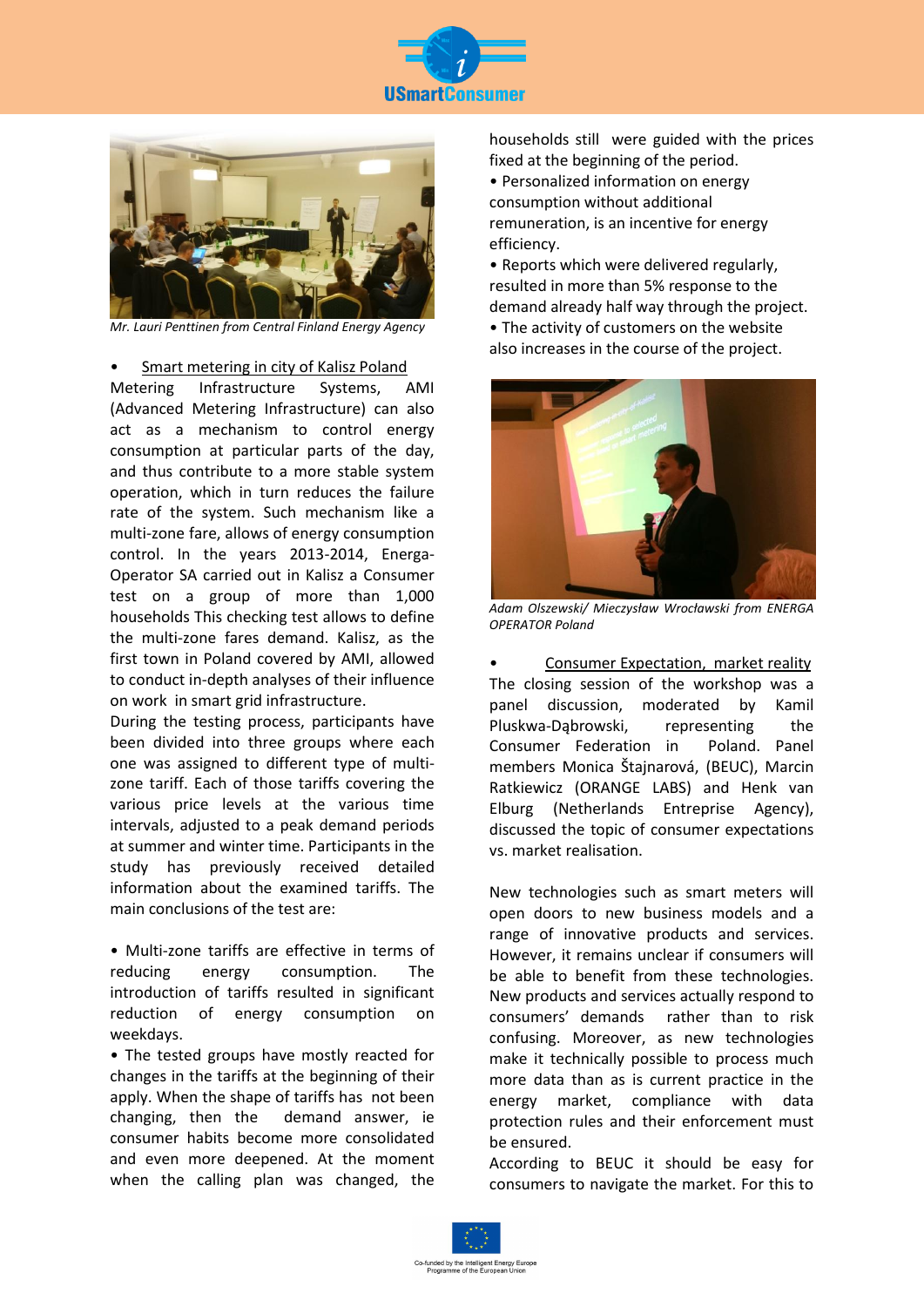



*Mr. Lauri Penttinen from Central Finland Energy Agency*

#### • Smart metering in city of Kalisz Poland

Metering Infrastructure Systems, AMI (Advanced Metering Infrastructure) can also act as a mechanism to control energy consumption at particular parts of the day, and thus contribute to a more stable system operation, which in turn reduces the failure rate of the system. Such mechanism like a multi-zone fare, allows of energy consumption control. In the years 2013-2014, Energa-Operator SA carried out in Kalisz a Consumer test on a group of more than 1,000 households This checking test allows to define the multi-zone fares demand. Kalisz, as the first town in Poland covered by AMI, allowed to conduct in-depth analyses of their influence on work in smart grid infrastructure.

During the testing process, participants have been divided into three groups where each one was assigned to different type of multizone tariff. Each of those tariffs covering the various price levels at the various time intervals, adjusted to a peak demand periods at summer and winter time. Participants in the study has previously received detailed information about the examined tariffs. The main conclusions of the test are:

• Multi-zone tariffs are effective in terms of reducing energy consumption. The introduction of tariffs resulted in significant reduction of energy consumption on weekdays.

• The tested groups have mostly reacted for changes in the tariffs at the beginning of their apply. When the shape of tariffs has not been changing, then the demand answer, ie consumer habits become more consolidated and even more deepened. At the moment when the calling plan was changed, the

households still were guided with the prices fixed at the beginning of the period. • Personalized information on energy

consumption without additional remuneration, is an incentive for energy efficiency.

• Reports which were delivered regularly, resulted in more than 5% response to the demand already half way through the project.

• The activity of customers on the website also increases in the course of the project.



*Adam Olszewski/ Mieczysław Wrocławski from ENERGA OPERATOR Poland* 

• Consumer Expectation, market reality The closing session of the workshop was a panel discussion, moderated by Kamil Pluskwa-Dabrowski, representing the Consumer Federation in Poland. Panel members Monica Štajnarová, (BEUC), Marcin Ratkiewicz (ORANGE LABS) and Henk van Elburg (Netherlands Entreprise Agency), discussed the topic of consumer expectations vs. market realisation.

New technologies such as smart meters will open doors to new business models and a range of innovative products and services. However, it remains unclear if consumers will be able to benefit from these technologies. New products and services actually respond to consumers' demands rather than to risk confusing. Moreover, as new technologies make it technically possible to process much more data than as is current practice in the energy market, compliance with data protection rules and their enforcement must be ensured.

According to BEUC it should be easy for consumers to navigate the market. For this to